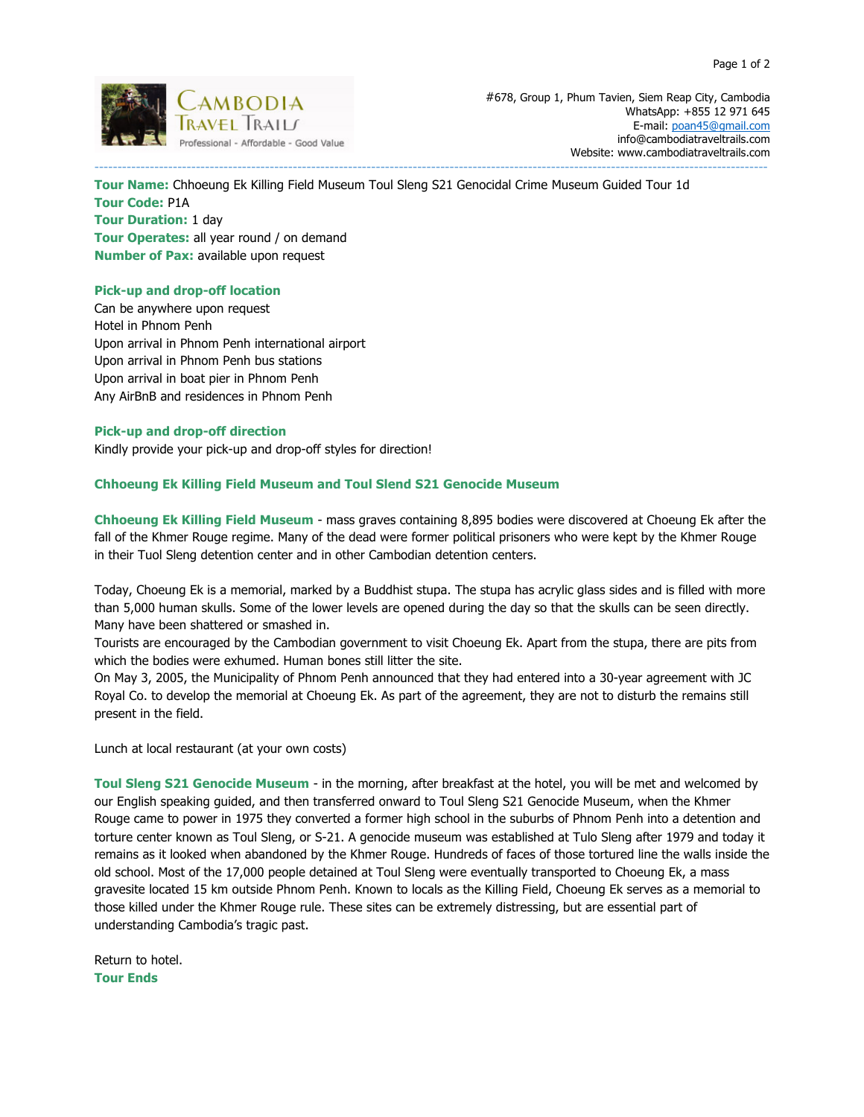

**AMBODIA** *#678, Group 1, Phum Tavien, Siem Reap City, Cambodia AMBODIA*  WhatsApp: +855 12 971 645 E-mail: poan45@gmail.com info@cambodiatraveltrails.com Website: www.cambodiatraveltrails.com

**Tour Name:** Chhoeung Ek Killing Field Museum Toul Sleng S21 Genocidal Crime Museum Guided Tour 1d **Tour Code:** P1A **Tour Duration:** 1 day **Tour Operates:** all year round / on demand **Number of Pax:** available upon request

--------------------------------------------------------------------------------------------------------------------------------------------------

# **Pick-up and drop-off location**

Can be anywhere upon request Hotel in Phnom Penh Upon arrival in Phnom Penh international airport Upon arrival in Phnom Penh bus stations Upon arrival in boat pier in Phnom Penh Any AirBnB and residences in Phnom Penh

## **Pick-up and drop-off direction**

Kindly provide your pick-up and drop-off styles for direction!

# **Chhoeung Ek Killing Field Museum and Toul Slend S21 Genocide Museum**

**Chhoeung Ek Killing Field Museum** - mass graves containing 8,895 bodies were discovered at Choeung Ek after the fall of the Khmer Rouge regime. Many of the dead were former political prisoners who were kept by the Khmer Rouge in their Tuol Sleng detention center and in other Cambodian detention centers.

Today, Choeung Ek is a memorial, marked by a Buddhist stupa. The stupa has acrylic glass sides and is filled with more than 5,000 human skulls. Some of the lower levels are opened during the day so that the skulls can be seen directly. Many have been shattered or smashed in.

Tourists are encouraged by the Cambodian government to visit Choeung Ek. Apart from the stupa, there are pits from which the bodies were exhumed. Human bones still litter the site.

On May 3, 2005, the Municipality of Phnom Penh announced that they had entered into a 30-year agreement with JC Royal Co. to develop the memorial at Choeung Ek. As part of the agreement, they are not to disturb the remains still present in the field.

Lunch at local restaurant (at your own costs)

**Toul Sleng S21 Genocide Museum** - in the morning, after breakfast at the hotel, you will be met and welcomed by our English speaking guided, and then transferred onward to Toul Sleng S21 Genocide Museum, when the Khmer Rouge came to power in 1975 they converted a former high school in the suburbs of Phnom Penh into a detention and torture center known as Toul Sleng, or S-21. A genocide museum was established at Tulo Sleng after 1979 and today it remains as it looked when abandoned by the Khmer Rouge. Hundreds of faces of those tortured line the walls inside the old school. Most of the 17,000 people detained at Toul Sleng were eventually transported to Choeung Ek, a mass gravesite located 15 km outside Phnom Penh. Known to locals as the Killing Field, Choeung Ek serves as a memorial to those killed under the Khmer Rouge rule. These sites can be extremely distressing, but are essential part of understanding Cambodia's tragic past.

Return to hotel. **Tour Ends**